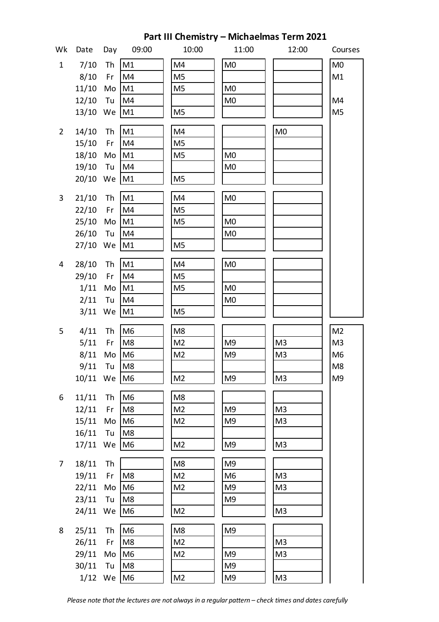| Part III Chemistry - Michaelmas Term 2021 |            |     |                |                |                |                |                |  |  |  |  |
|-------------------------------------------|------------|-----|----------------|----------------|----------------|----------------|----------------|--|--|--|--|
| Wk                                        | Date       | Day | 09:00          | 10:00          | 11:00          | 12:00          | Courses        |  |  |  |  |
| $\mathbf{1}$                              | 7/10       | Th  | M1             | M4             | M <sub>0</sub> |                | M <sub>0</sub> |  |  |  |  |
|                                           | 8/10       | Fr  | M4             | M <sub>5</sub> |                |                | M1             |  |  |  |  |
|                                           | 11/10      | Mo  | M1             | M <sub>5</sub> | M <sub>0</sub> |                |                |  |  |  |  |
|                                           | $12/10$ Tu |     | M4             |                | M <sub>0</sub> |                | M4             |  |  |  |  |
|                                           | 13/10 We   |     | M <sub>1</sub> | M <sub>5</sub> |                |                | M <sub>5</sub> |  |  |  |  |
| $\overline{2}$                            | 14/10      | Th  | M1             | M4             |                | M <sub>0</sub> |                |  |  |  |  |
|                                           | 15/10 Fr   |     | M4             | M <sub>5</sub> |                |                |                |  |  |  |  |
|                                           | 18/10      | Mo  | M1             | M <sub>5</sub> | M <sub>0</sub> |                |                |  |  |  |  |
|                                           | 19/10 Tu   |     | M4             |                | M <sub>0</sub> |                |                |  |  |  |  |
|                                           | 20/10 We   |     | M1             | M <sub>5</sub> |                |                |                |  |  |  |  |
| 3                                         | 21/10      | Th  | M1             | M4             | M <sub>0</sub> |                |                |  |  |  |  |
|                                           | 22/10 Fr   |     | M4             | M <sub>5</sub> |                |                |                |  |  |  |  |
|                                           | 25/10      | Mo  | M1             | M <sub>5</sub> | M <sub>0</sub> |                |                |  |  |  |  |
|                                           | 26/10 Tu   |     | M4             |                | M <sub>0</sub> |                |                |  |  |  |  |
|                                           | 27/10 We   |     | M1             | M <sub>5</sub> |                |                |                |  |  |  |  |
| $\overline{4}$                            | 28/10      | Th  | M1             | M4             | M <sub>0</sub> |                |                |  |  |  |  |
|                                           | 29/10 Fr   |     | M4             | M <sub>5</sub> |                |                |                |  |  |  |  |
|                                           | 1/11       | Mo  | M1             | M <sub>5</sub> | M <sub>0</sub> |                |                |  |  |  |  |
|                                           | 2/11       | Tu  | M4             |                | M <sub>0</sub> |                |                |  |  |  |  |
|                                           | $3/11$ We  |     | M1             | M <sub>5</sub> |                |                |                |  |  |  |  |
|                                           |            |     |                |                |                |                |                |  |  |  |  |
| 5                                         | 4/11       | Th  | M <sub>6</sub> | M <sub>8</sub> |                |                | M <sub>2</sub> |  |  |  |  |
|                                           | 5/11       | Fr  | M <sub>8</sub> | M <sub>2</sub> | M9             | M <sub>3</sub> | M <sub>3</sub> |  |  |  |  |
|                                           | $8/11$ Mo  |     | M <sub>6</sub> | M <sub>2</sub> | M9             | M <sub>3</sub> | M <sub>6</sub> |  |  |  |  |
|                                           | 9/11       | Tu  | M <sub>8</sub> |                |                |                | M <sub>8</sub> |  |  |  |  |
|                                           | 10/11 We   |     | M <sub>6</sub> | M <sub>2</sub> | M9             | M <sub>3</sub> | M <sub>9</sub> |  |  |  |  |
| 6                                         | 11/11      | Th  | M <sub>6</sub> | M <sub>8</sub> |                |                |                |  |  |  |  |
|                                           | 12/11      | Fr  | M <sub>8</sub> | M <sub>2</sub> | M9             | M <sub>3</sub> |                |  |  |  |  |
|                                           | 15/11      | Mo  | M <sub>6</sub> | M <sub>2</sub> | M9             | M <sub>3</sub> |                |  |  |  |  |
|                                           | 16/11 Tu   |     | M8             |                |                |                |                |  |  |  |  |
|                                           | 17/11 We   |     | M <sub>6</sub> | M <sub>2</sub> | M9             | M <sub>3</sub> |                |  |  |  |  |
| 7 <sup>7</sup>                            | 18/11      | Th  |                | M <sub>8</sub> | M <sub>9</sub> |                |                |  |  |  |  |
|                                           | 19/11      | Fr  | M <sub>8</sub> | M <sub>2</sub> | M <sub>6</sub> | M <sub>3</sub> |                |  |  |  |  |
|                                           | 22/11      | Mo  | M <sub>6</sub> | M <sub>2</sub> | M <sub>9</sub> | M <sub>3</sub> |                |  |  |  |  |
|                                           | 23/11      | Tu  | M <sub>8</sub> |                | M <sub>9</sub> |                |                |  |  |  |  |
|                                           | 24/11 We   |     | M <sub>6</sub> | M <sub>2</sub> |                | M <sub>3</sub> |                |  |  |  |  |
| 8                                         | 25/11      | Th  | M <sub>6</sub> | M <sub>8</sub> | M <sub>9</sub> |                |                |  |  |  |  |
|                                           | 26/11      | Fr  | M <sub>8</sub> | M <sub>2</sub> |                | M <sub>3</sub> |                |  |  |  |  |
|                                           | 29/11      | Mo  | M <sub>6</sub> | M <sub>2</sub> | M <sub>9</sub> | M <sub>3</sub> |                |  |  |  |  |
|                                           | 30/11      | Tu  | M8             |                | M <sub>9</sub> |                |                |  |  |  |  |
|                                           | $1/12$ We  |     | M <sub>6</sub> | M <sub>2</sub> | M9             | M <sub>3</sub> |                |  |  |  |  |

*Please note that the lectures are not always in a regular pattern – check times and dates carefully*